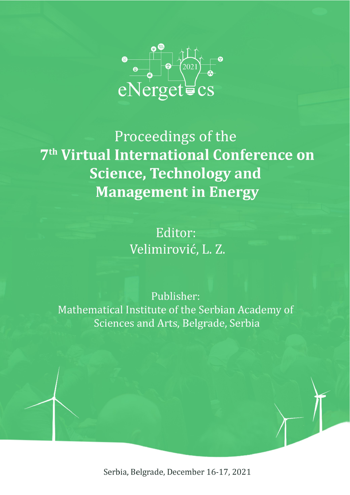

Proceedings of the 7<sup>th</sup> Virtual International Conference on **Science, Technology and Management in Energy** 

> Editor: Velimirović, L. Z.

Publisher: Mathematical Institute of the Serbian Academy of Sciences and Arts, Belgrade, Serbia

Serbia, Belgrade, December 16-17, 2021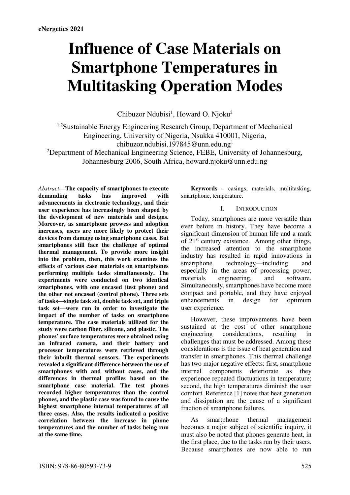# **Influence of Case Materials on Smartphone Temperatures in Multitasking Operation Modes**

Chibuzor Ndubisi<sup>1</sup>, Howard O. Njoku<sup>2</sup>

<sup>1,2</sup>Sustainable Energy Engineering Research Group, Department of Mechanical Engineering, University of Nigeria, Nsukka 410001, Nigeria, chibuzor.ndubisi.197845@unn.edu.ng1

<sup>2</sup>Department of Mechanical Engineering Science, FEBE, University of Johannesburg, Johannesburg 2006, South Africa, howard.njoku@unn.edu.ng

*Abstract***—The capacity of smartphones to execute demanding tasks has improved with advancements in electronic technology, and their user experience has increasingly been shaped by the development of new materials and designs. Moreover, as smartphone prowess and adoption increases, users are more likely to protect their devices from damage using smartphone cases. But smartphones still face the challenge of optimal thermal management. To provide more insight into the problem, then, this work examines the effects of various case materials on smartphones performing multiple tasks simultaneously. The experiments were conducted on two identical smartphones, with one encased (test phone) and the other not encased (control phone). Three sets of tasks—single task set, double task set, and triple task set—were run in order to investigate the impact of the number of tasks on smartphone temperature. The case materials utilized for the study were carbon fiber, silicone, and plastic. The phones' surface temperatures were obtained using an infrared camera, and their battery and processor temperatures were retrieved through their inbuilt thermal sensors. The experiments revealed a significant difference between the use of smartphones with and without cases, and the differences in thermal profiles based on the smartphone case material. The test phones recorded higher temperatures than the control phones, and the plastic case was found to cause the highest smartphone internal temperatures of all three cases. Also, the results indicated a positive correlation between the increase in phone temperatures and the number of tasks being run at the same time.** 

**Keywords –** casings, materials, multitasking, smartphone, temperature.

## I. INTRODUCTION

Today, smartphones are more versatile than ever before in history. They have become a significant dimension of human life and a mark of  $21<sup>st</sup>$  century existence. Among other things, the increased attention to the smartphone industry has resulted in rapid innovations in<br>smartphone technology—including and technology—including and especially in the areas of processing power, materials engineering, and software. Simultaneously, smartphones have become more compact and portable, and they have enjoyed<br>enhancements in design for optimum enhancements in user experience.

However, these improvements have been sustained at the cost of other smartphone engineering considerations, resulting in challenges that must be addressed. Among these considerations is the issue of heat generation and transfer in smartphones. This thermal challenge has two major negative effects: first, smartphone<br>internal components deteriorate as they components deteriorate as experience repeated fluctuations in temperature; second, the high temperatures diminish the user comfort. Reference [1] notes that heat generation and dissipation are the cause of a significant fraction of smartphone failures.

As smartphone thermal management becomes a major subject of scientific inquiry, it must also be noted that phones generate heat, in the first place, due to the tasks run by their users. Because smartphones are now able to run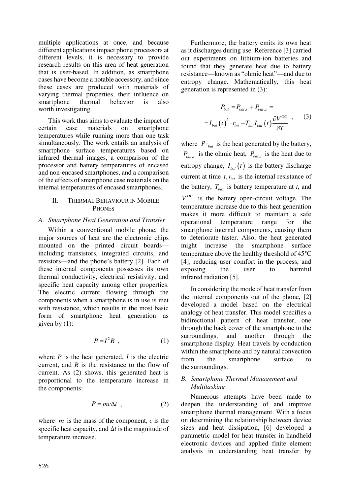multiple applications at once, and because different applications impact phone processors at different levels, it is necessary to provide research results on this area of heat generation that is user-based. In addition, as smartphone cases have become a notable accessory, and since these cases are produced with materials of varying thermal properties, their influence on<br>smartphone thermal behavior is also smartphone thermal behavior is also worth investigating.

This work thus aims to evaluate the impact of<br>tain case materials on smartphone certain case materials on smartphone temperatures while running more than one task simultaneously. The work entails an analysis of smartphone surface temperatures based on infrared thermal images, a comparison of the processor and battery temperatures of encased and non-encased smartphones, and a comparison of the effects of smartphone case materials on the internal temperatures of encased smartphones.

# II. THERMAL BEHAVIOUR IN MOBILE **PHONES**

# *A. Smartphone Heat Generation and Transfer*

Within a conventional mobile phone, the major sources of heat are the electronic chips mounted on the printed circuit boards including transistors, integrated circuits, and resistors—and the phone's battery [2]. Each of these internal components possesses its own thermal conductivity, electrical resistivity, and specific heat capacity among other properties. The electric current flowing through the components when a smartphone is in use is met with resistance, which results in the most basic form of smartphone heat generation as given by (1):

$$
P = I^2 R \tag{1}
$$

where  $P$  is the heat generated,  $I$  is the electric current, and *R* is the resistance to the flow of current. As (2) shows, this generated heat is proportional to the temperature increase in the components:

$$
P = mc\Delta t \quad , \tag{2}
$$

where *<sup>m</sup>* is the mass of the component, *c* is the specific heat capacity, and  $\Delta t$  is the magnitude of temperature increase.

Furthermore, the battery emits its own heat as it discharges during use. Reference [3] carried out experiments on lithium-ion batteries and found that they generate heat due to battery resistance—known as "ohmic heat"—and due to entropy change. Mathematically, this heat generation is represented in (3):

$$
P_{bat} = P_{bat,r} + P_{bat,s} =
$$
  

$$
= I_{bat} (t)^{2} \cdot r_{int} - T_{bat} I_{bat} (t) \frac{\partial V^{OC}}{\partial T} , \qquad (3)
$$

where  $P_{\textit{bat}}$  is the heat generated by the battery,  $P_{bat,r}$  is the ohmic heat,  $P_{bat,s}$  is the heat due to entropy change,  $I_{bat}(t)$  is the battery discharge current at time  $t, r_{int}$  is the internal resistance of the battery,  $T_{bat}$  is battery temperature at *t*, and  $V^{OC}$  is the battery open-circuit voltage. The temperature increase due to this heat generation makes it more difficult to maintain a safe operational temperature range for the smartphone internal components, causing them to deteriorate faster. Also, the heat generated might increase the smartphone surface temperature above the healthy threshold of 45°C [4], reducing user comfort in the process, and exposing the user to harmful infrared radiation [5].

In considering the mode of heat transfer from the internal components out of the phone, [2] developed a model based on the electrical analogy of heat transfer. This model specifies a bidirectional pattern of heat transfer, one through the back cover of the smartphone to the surroundings, and another through the smartphone display. Heat travels by conduction within the smartphone and by natural convection from the smartphone surface to the surroundings.

# *B. Smartphone Thermal Management and Multitasking*

Numerous attempts have been made to deepen the understanding of and improve smartphone thermal management. With a focus on determining the relationship between device sizes and heat dissipation, [6] developed a parametric model for heat transfer in handheld electronic devices and applied finite element analysis in understanding heat transfer by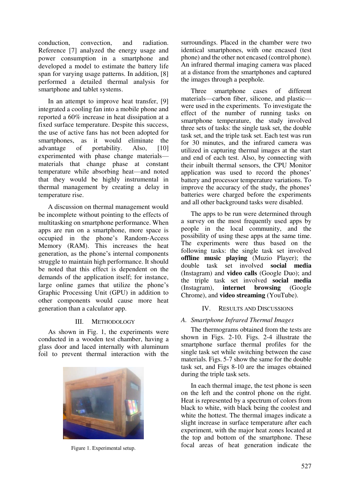conduction, convection, and radiation. Reference [7] analyzed the energy usage and power consumption in a smartphone and developed a model to estimate the battery life span for varying usage patterns. In addition, [8] performed a detailed thermal analysis for smartphone and tablet systems.

In an attempt to improve heat transfer, [9] integrated a cooling fan into a mobile phone and reported a 60% increase in heat dissipation at a fixed surface temperature. Despite this success, the use of active fans has not been adopted for smartphones, as it would eliminate the advantage of portability. Also, [10] experimented with phase change materials materials that change phase at constant temperature while absorbing heat—and noted that they would be highly instrumental in thermal management by creating a delay in temperature rise.

A discussion on thermal management would be incomplete without pointing to the effects of multitasking on smartphone performance. When apps are run on a smartphone, more space is occupied in the phone's Random-Access Memory (RAM). This increases the heat generation, as the phone's internal components struggle to maintain high performance. It should be noted that this effect is dependent on the demands of the application itself; for instance, large online games that utilize the phone's Graphic Processing Unit (GPU) in addition to other components would cause more heat generation than a calculator app.

# III. METHODOLOGY

As shown in Fig. 1, the experiments were conducted in a wooden test chamber, having a glass door and laced internally with aluminum foil to prevent thermal interaction with the



surroundings. Placed in the chamber were two identical smartphones, with one encased (test phone) and the other not encased (control phone). An infrared thermal imaging camera was placed at a distance from the smartphones and captured the images through a peephole.

Three smartphone cases of different materials—carbon fiber, silicone, and plastic were used in the experiments. To investigate the effect of the number of running tasks on smartphone temperature, the study involved three sets of tasks: the single task set, the double task set, and the triple task set. Each test was run for 30 minutes, and the infrared camera was utilized in capturing thermal images at the start and end of each test. Also, by connecting with their inbuilt thermal sensors, the CPU Monitor application was used to record the phones' battery and processor temperature variations. To improve the accuracy of the study, the phones' batteries were charged before the experiments and all other background tasks were disabled.

The apps to be run were determined through a survey on the most frequently used apps by people in the local community, and the possibility of using these apps at the same time. The experiments were thus based on the following tasks: the single task set involved **offline music playing** (Muzio Player); the double task set involved **social media**  (Instagram) and **video calls** (Google Duo); and the triple task set involved **social media**  (Instagram), Chrome), and **video streaming** (YouTube).

# IV. RESULTS AND DISCUSSIONS

## *A. Smartphone Infrared Thermal Images*

The thermograms obtained from the tests are shown in Figs. 2-10. Figs. 2-4 illustrate the smartphone surface thermal profiles for the single task set while switching between the case materials. Figs. 5-7 show the same for the double task set, and Figs 8-10 are the images obtained during the triple task sets.

In each thermal image, the test phone is seen on the left and the control phone on the right. Heat is represented by a spectrum of colors from black to white, with black being the coolest and white the hottest. The thermal images indicate a slight increase in surface temperature after each experiment, with the major heat zones located at the top and bottom of the smartphone. These Figure 1. Experimental setup. **Figure 1. Experimental setup. Figure 1. Experimental setup. Figure 1. Experimental setup.**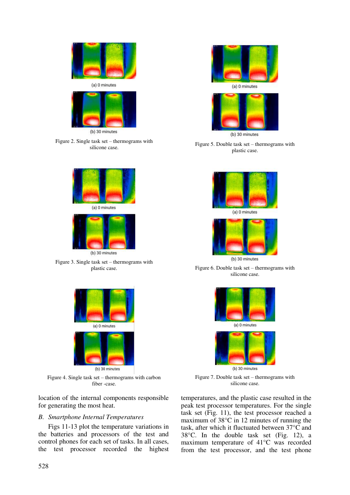

(b) 30 minutes

Figure 2. Single task set – thermograms with silicone case.



Figure 3. Single task set – thermograms with plastic case.



Figure 4. Single task set – thermograms with carbon fiber -case.

location of the internal components responsible for generating the most heat.

#### *B. Smartphone Internal Temperatures*

Figs 11-13 plot the temperature variations in the batteries and processors of the test and control phones for each set of tasks. In all cases, the test processor recorded the highest





(b) 30 minutes

Figure 5. Double task set – thermograms with plastic case.





Figure 6. Double task set – thermograms with silicone case.



(b) 30 minutes

Figure 7. Double task set – thermograms with silicone case.

temperatures, and the plastic case resulted in the peak test processor temperatures. For the single task set (Fig. 11), the test processor reached a maximum of 38°C in 12 minutes of running the task, after which it fluctuated between 37°C and 38°C. In the double task set (Fig. 12), a maximum temperature of 41°C was recorded from the test processor, and the test phone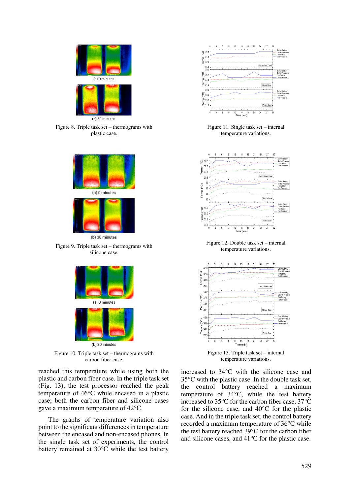

Figure 8. Triple task set – thermograms with plastic case.



Figure 9. Triple task set – thermograms with silicone case.



Figure 10. Triple task set – thermograms with carbon fiber case.

reached this temperature while using both the plastic and carbon fiber case. In the triple task set (Fig. 13), the test processor reached the peak temperature of 46°C while encased in a plastic case; both the carbon fiber and silicone cases gave a maximum temperature of 42°C.

The graphs of temperature variation also point to the significant differences in temperature between the encased and non-encased phones. In the single task set of experiments, the control battery remained at  $30^{\circ}$ C while the test battery



Figure 11. Single task set – internal temperature variations.



Figure 12. Double task set – internal temperature variations.



Figure 13. Triple task set – internal temperature variations.

increased to 34°C with the silicone case and 35°C with the plastic case. In the double task set, the control battery reached a maximum temperature of 34°C, while the test battery increased to 35°C for the carbon fiber case, 37°C for the silicone case, and 40°C for the plastic case. And in the triple task set, the control battery recorded a maximum temperature of 36°C while the test battery reached  $39^{\circ}$ C for the carbon fiber and silicone cases, and 41°C for the plastic case.